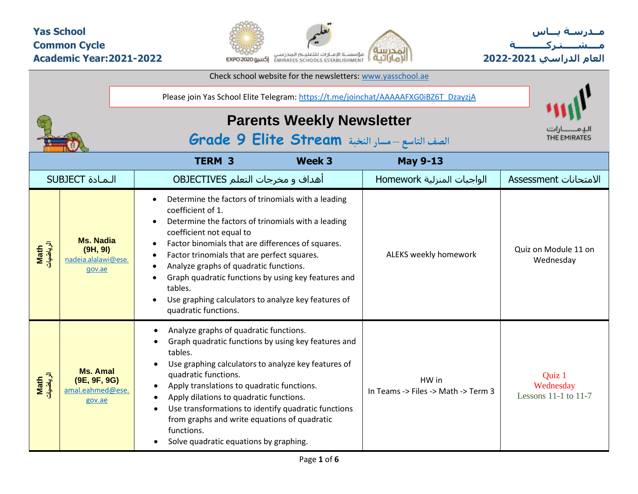## **Yas School Common Cycle Academic Year:2021-2022**



Check school website for the newsletters: [www.yasschool.ae](http://www.yasschool.ae/)

**مــدرسـة يـــاس مــــشـ ـــ ـتـ ركـ ــــــــــ ة العام الدراسي -2021 2022**

|                   |                                                               | Please join Yas School Elite Telegram: https://t.me/joinchat/AAAAAFXG0iBZ6T_DzayzjA                                                                                                                                                                                                                                                                                                                                                                                                                              |                                              |                                                 |
|-------------------|---------------------------------------------------------------|------------------------------------------------------------------------------------------------------------------------------------------------------------------------------------------------------------------------------------------------------------------------------------------------------------------------------------------------------------------------------------------------------------------------------------------------------------------------------------------------------------------|----------------------------------------------|-------------------------------------------------|
|                   |                                                               | <b>Parents Weekly Newsletter</b><br>الصف التاسع - مسار النخبة Grade 9 Elite Stream                                                                                                                                                                                                                                                                                                                                                                                                                               |                                              | THE EMIRATES                                    |
|                   |                                                               | <b>TERM 3</b><br>Week 3                                                                                                                                                                                                                                                                                                                                                                                                                                                                                          | <b>May 9-13</b>                              |                                                 |
|                   | <b>SUBJECT</b> المادة                                         | أهداف و مخرجات التعلم OBJECTIVES                                                                                                                                                                                                                                                                                                                                                                                                                                                                                 | الواجبات المنزلية Homework                   | الامتحانات Assessment                           |
| Math<br>الرياضيات | <b>Ms. Nadia</b><br>(9H, 9I)<br>nadeia.alalawi@ese.<br>gov.ae | Determine the factors of trinomials with a leading<br>coefficient of 1.<br>Determine the factors of trinomials with a leading<br>coefficient not equal to<br>Factor binomials that are differences of squares.<br>$\bullet$<br>Factor trinomials that are perfect squares.<br>$\bullet$<br>Analyze graphs of quadratic functions.<br>Graph quadratic functions by using key features and<br>tables.<br>Use graphing calculators to analyze key features of<br>quadratic functions.                               | ALEKS weekly homework                        | Quiz on Module 11 on<br>Wednesday               |
| الرياضيات<br>Math | <b>Ms. Amal</b><br>(9E, 9F, 9G)<br>amal.eahmed@ese.<br>gov.ae | Analyze graphs of quadratic functions.<br>$\bullet$<br>Graph quadratic functions by using key features and<br>tables.<br>Use graphing calculators to analyze key features of<br>quadratic functions.<br>Apply translations to quadratic functions.<br>$\bullet$<br>Apply dilations to quadratic functions.<br>$\bullet$<br>Use transformations to identify quadratic functions<br>$\bullet$<br>from graphs and write equations of quadratic<br>functions.<br>Solve quadratic equations by graphing.<br>$\bullet$ | HW in<br>In Teams -> Files -> Math -> Term 3 | Quiz 1<br>Wednesday<br>Lessons $11-1$ to $11-7$ |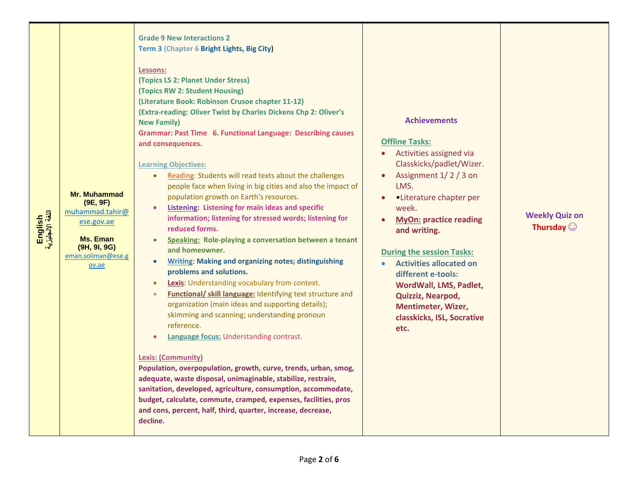| English<br>اللغة الإنجليزية | Mr. Muhammad<br>(9E, 9F)<br>muhammad.tahir@<br>ese.gov.ae<br><b>Ms. Eman</b><br>(9H, 9I, 9G)<br>eman.soliman@ese.g<br>ov.ae | <b>Grade 9 New Interactions 2</b><br>Term 3 (Chapter 6 Bright Lights, Big City)<br>Lessons:<br>(Topics LS 2: Planet Under Stress)<br>(Topics RW 2: Student Housing)<br>(Literature Book: Robinson Crusoe chapter 11-12)<br>(Extra-reading: Oliver Twist by Charles Dickens Chp 2: Oliver's<br><b>New Family)</b><br><b>Grammar: Past Time 6. Functional Language: Describing causes</b><br>and consequences.<br><b>Learning Objectives:</b><br>Reading: Students will read texts about the challenges<br>$\bullet$<br>people face when living in big cities and also the impact of<br>population growth on Earth's resources.<br><b>Listening: Listening for main ideas and specific</b><br>information; listening for stressed words; listening for<br>reduced forms.<br>Speaking: Role-playing a conversation between a tenant<br>$\bullet$<br>and homeowner.<br><b>Writing: Making and organizing notes; distinguishing</b><br>$\bullet$<br>problems and solutions.<br>Lexis: Understanding vocabulary from context.<br>$\bullet$<br>Functional/ skill language: Identifying text structure and<br>$\bullet$<br>organization (main ideas and supporting details);<br>skimming and scanning; understanding pronoun<br>reference.<br>Language focus: Understanding contrast.<br><b>Lexis: (Community)</b><br>Population, overpopulation, growth, curve, trends, urban, smog,<br>adequate, waste disposal, unimaginable, stabilize, restrain,<br>sanitation, developed, agriculture, consumption, accommodate,<br>budget, calculate, commute, cramped, expenses, facilities, pros<br>and cons, percent, half, third, quarter, increase, decrease,<br>decline. | <b>Achievements</b><br><b>Offline Tasks:</b><br>Activities assigned via<br>Classkicks/padlet/Wizer.<br>Assignment 1/2/3 on<br>LMS.<br>•Literature chapter per<br>week.<br><b>MyOn: practice reading</b><br>and writing.<br><b>During the session Tasks:</b><br><b>Activities allocated on</b><br>different e-tools:<br>WordWall, LMS, Padlet,<br>Quizziz, Nearpod,<br><b>Mentimeter, Wizer,</b><br>classkicks, ISL, Socrative<br>etc. | <b>Weekly Quiz on</b><br>Thursday $\odot$ |
|-----------------------------|-----------------------------------------------------------------------------------------------------------------------------|---------------------------------------------------------------------------------------------------------------------------------------------------------------------------------------------------------------------------------------------------------------------------------------------------------------------------------------------------------------------------------------------------------------------------------------------------------------------------------------------------------------------------------------------------------------------------------------------------------------------------------------------------------------------------------------------------------------------------------------------------------------------------------------------------------------------------------------------------------------------------------------------------------------------------------------------------------------------------------------------------------------------------------------------------------------------------------------------------------------------------------------------------------------------------------------------------------------------------------------------------------------------------------------------------------------------------------------------------------------------------------------------------------------------------------------------------------------------------------------------------------------------------------------------------------------------------------------------------------------------------------------------------------------|---------------------------------------------------------------------------------------------------------------------------------------------------------------------------------------------------------------------------------------------------------------------------------------------------------------------------------------------------------------------------------------------------------------------------------------|-------------------------------------------|
|-----------------------------|-----------------------------------------------------------------------------------------------------------------------------|---------------------------------------------------------------------------------------------------------------------------------------------------------------------------------------------------------------------------------------------------------------------------------------------------------------------------------------------------------------------------------------------------------------------------------------------------------------------------------------------------------------------------------------------------------------------------------------------------------------------------------------------------------------------------------------------------------------------------------------------------------------------------------------------------------------------------------------------------------------------------------------------------------------------------------------------------------------------------------------------------------------------------------------------------------------------------------------------------------------------------------------------------------------------------------------------------------------------------------------------------------------------------------------------------------------------------------------------------------------------------------------------------------------------------------------------------------------------------------------------------------------------------------------------------------------------------------------------------------------------------------------------------------------|---------------------------------------------------------------------------------------------------------------------------------------------------------------------------------------------------------------------------------------------------------------------------------------------------------------------------------------------------------------------------------------------------------------------------------------|-------------------------------------------|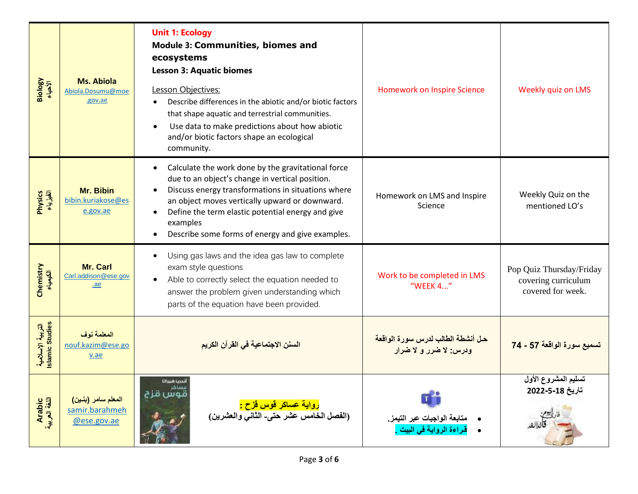| Biology<br>الأحياء                   | <b>Ms. Abiola</b><br>Abiola.Dosumu@moe<br>.gov.ae   | <b>Unit 1: Ecology</b><br><b>Module 3: Communities, biomes and</b><br>ecosystems<br><b>Lesson 3: Aquatic biomes</b><br>Lesson Objectives:<br>Describe differences in the abiotic and/or biotic factors<br>that shape aquatic and terrestrial communities.<br>Use data to make predictions about how abiotic<br>$\bullet$<br>and/or biotic factors shape an ecological<br>community. | <b>Homework on Inspire Science</b>                                               | Weekly quiz on LMS                                                   |
|--------------------------------------|-----------------------------------------------------|-------------------------------------------------------------------------------------------------------------------------------------------------------------------------------------------------------------------------------------------------------------------------------------------------------------------------------------------------------------------------------------|----------------------------------------------------------------------------------|----------------------------------------------------------------------|
| Physics<br>الفيزياء                  | Mr. Bibin<br>bibin.kuriakose@es<br>e.gov.ae         | Calculate the work done by the gravitational force<br>٠<br>due to an object's change in vertical position.<br>Discuss energy transformations in situations where<br>$\bullet$<br>an object moves vertically upward or downward.<br>Define the term elastic potential energy and give<br>$\bullet$<br>examples<br>Describe some forms of energy and give examples.                   | Homework on LMS and Inspire<br>Science                                           | Weekly Quiz on the<br>mentioned LO's                                 |
| Chemistry<br>الكيمياء                | Mr. Carl<br>Carl.addison@ese.gov<br>.ae             | Using gas laws and the idea gas law to complete<br>exam style questions<br>Able to correctly select the equation needed to<br>$\bullet$<br>answer the problem given understanding which<br>parts of the equation have been provided.                                                                                                                                                | Work to be completed in LMS<br>"WEEK 4"                                          | Pop Quiz Thursday/Friday<br>covering curriculum<br>covered for week. |
| التربية الإسلامية<br>Islamic Studies | المعلمة نوف<br>nouf.kazim@ese.go<br>v.ae            | السنن الاجتماعية في القرآن الكريم                                                                                                                                                                                                                                                                                                                                                   | حل أنشطة الطالب لدرس سورة الواقعة<br>ودرس: لا ضرر و لا ضرار                      | تسميع سورة الواقعة 57 - 74                                           |
| Arabic<br>اللغة العربية              | المعلم سامر (بنين)<br>samir.barahmeh<br>@ese.gov.ae | أندريا شبراتا<br>يسامر<br>قوس قزح<br><mark>رواية عساكر قوس قزح :</mark><br>(الفصل الخامس عشر حتى- الثاني والعشرين)                                                                                                                                                                                                                                                                  | $\mathbf{T}^{\prime}$<br>متابعة الواجبات عبر التيمز.<br>قراءة الرواية في البيت . | تسليم المشروع الأول<br>تاريخ 18-5-2022                               |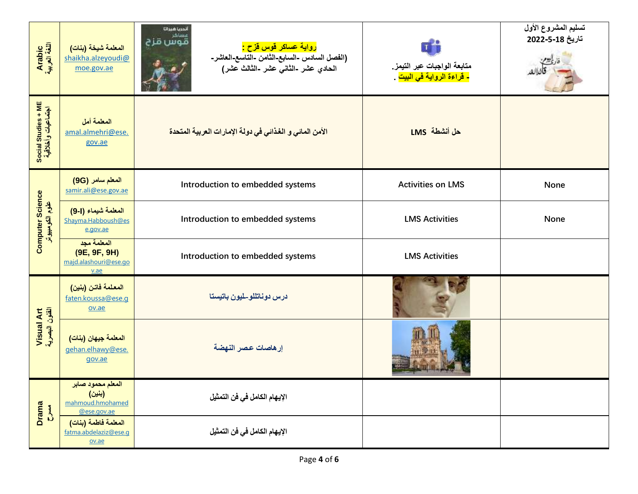| Arabic<br>اللغة العربية                    | المعلمة شيخة (بنات)<br>shaikha.alzeyoudi@<br>moe.gov.ae        | أندريا شبراتا<br>مساكر<br>قوس قزح<br><mark>رواية عساكر قوس قزح :</mark><br>(الفصل السادس -السابع-الثامن -التاسع-العاشر-<br>الحادي عشر -الثان <i>ي عش</i> ر -الثالث عشر) | T<br>متابعة الواجبات عبر التيمز.<br><mark>- قراءة الرواية في البيت</mark> . | تسليم المشروع الأول<br>تاريخ 18-5-2022 |
|--------------------------------------------|----------------------------------------------------------------|-------------------------------------------------------------------------------------------------------------------------------------------------------------------------|-----------------------------------------------------------------------------|----------------------------------------|
| Social Studies + ME<br>اجتماعيات وأخلاقية  | المعلمة أمل<br>amal.almehri@ese.<br>gov.ae                     | الأمن المائي و الغذائي في دولة الإمارات العربية المتحدة                                                                                                                 | حل أنشطة LMS                                                                |                                        |
|                                            | المعلم سامر (9G)<br>samir.ali@ese.gov.ae                       | Introduction to embedded systems                                                                                                                                        | <b>Activities on LMS</b>                                                    | None                                   |
| <b>Computer Science</b><br>علوم الكومبيوتر | المعلمة شيماء (1-9)<br>Shayma.Habboush@es<br>e.gov.ae          | Introduction to embedded systems                                                                                                                                        | <b>LMS Activities</b>                                                       | None                                   |
|                                            | المعلمة مجد<br>(9E, 9F, 9H)<br>majd.alashouri@ese.go<br>v.ae   | Introduction to embedded systems                                                                                                                                        | <b>LMS Activities</b>                                                       |                                        |
|                                            | المعلمة فاتن (بنين)<br>faten.koussa@ese.q<br>ov.ae             | درس دوناتللو-لميون باتيستا                                                                                                                                              |                                                                             |                                        |
| Visual Art<br>الفئون البصرية               | المعلمة جيهان (بنات)<br>gehan.elhawy@ese.<br>gov.ae            | إرهاصات عصر النهضة                                                                                                                                                      |                                                                             |                                        |
| <b>Drama</b><br>Red Ward                   | المعلم محمود صابر<br>(بنين)<br>mahmoud.hmohamed<br>@ese.gov.ae | الإيهام الكامل في فن التمثيل                                                                                                                                            |                                                                             |                                        |
|                                            | المعلمة فاطمة (بنات)<br>fatma.abdelaziz@ese.q<br>ov.ae         | الإيهام الكامل في فن التمثيل                                                                                                                                            |                                                                             |                                        |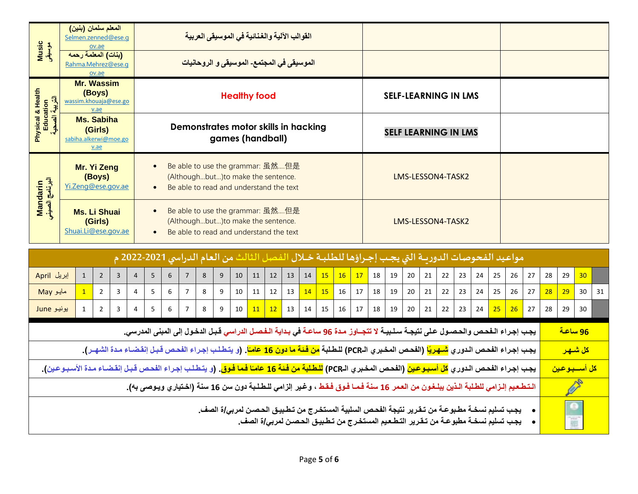| Music<br>موسیقی                                                                                                                                                                                            | المعلم سلمان (بنين)<br>Selmen.zenned@ese.q                                                                                                                             | ov.ae                                                                                                                                                                                  |   |                |   |   |                | القوالب الآلية والغنائية في الموسيقى العربية |   |    |                          |    |                       |                |    |    |    |                                                                                                    |    |    |    |    |    |    |    |    |    |    |           |    |    |
|------------------------------------------------------------------------------------------------------------------------------------------------------------------------------------------------------------|------------------------------------------------------------------------------------------------------------------------------------------------------------------------|----------------------------------------------------------------------------------------------------------------------------------------------------------------------------------------|---|----------------|---|---|----------------|----------------------------------------------|---|----|--------------------------|----|-----------------------|----------------|----|----|----|----------------------------------------------------------------------------------------------------|----|----|----|----|----|----|----|----|----|----|-----------|----|----|
| (بنات) المعلمة رحمه<br>الموسيق <i>ى</i> في المجتمع- الموسيق <i>ى</i> و الروحانيات<br>Rahma.Mehrez@ese.g<br>ov.ae                                                                                           |                                                                                                                                                                        |                                                                                                                                                                                        |   |                |   |   |                |                                              |   |    |                          |    |                       |                |    |    |    |                                                                                                    |    |    |    |    |    |    |    |    |    |    |           |    |    |
|                                                                                                                                                                                                            | <b>Mr. Wassim</b><br>Physical & Health<br>Education<br>التربية الصحية<br>(Boys)<br><b>Healthy food</b><br><b>SELF-LEARNING IN LMS</b><br>wassim.khouaja@ese.go<br>v.ae |                                                                                                                                                                                        |   |                |   |   |                |                                              |   |    |                          |    |                       |                |    |    |    |                                                                                                    |    |    |    |    |    |    |    |    |    |    |           |    |    |
|                                                                                                                                                                                                            | <b>Ms. Sabiha</b><br>Demonstrates motor skills in hacking<br>(Girls)<br><b>SELF LEARNING IN LMS</b><br>games (handball)<br>sabiha.alkerwi@moe.go<br>v.ae               |                                                                                                                                                                                        |   |                |   |   |                |                                              |   |    |                          |    |                       |                |    |    |    |                                                                                                    |    |    |    |    |    |    |    |    |    |    |           |    |    |
| Mandarin<br>البرنامج الصيني                                                                                                                                                                                |                                                                                                                                                                        | Be able to use the grammar: 虽然但是<br>Mr. Yi Zeng<br>(Althoughbut) to make the sentence.<br>(Boys)<br>LMS-LESSON4-TASK2<br>Yi.Zeng@ese.gov.ae<br>Be able to read and understand the text |   |                |   |   |                |                                              |   |    |                          |    |                       |                |    |    |    |                                                                                                    |    |    |    |    |    |    |    |    |    |    |           |    |    |
| Be able to use the grammar: 虽然但是<br>$\bullet$<br><b>Ms. Li Shuai</b><br>(Girls)<br>(Althoughbut) to make the sentence.<br>Shuai.Li@ese.gov.ae<br>Be able to read and understand the text                   |                                                                                                                                                                        |                                                                                                                                                                                        |   |                |   |   |                |                                              |   |    | LMS-LESSON4-TASK2        |    |                       |                |    |    |    |                                                                                                    |    |    |    |    |    |    |    |    |    |    |           |    |    |
|                                                                                                                                                                                                            |                                                                                                                                                                        |                                                                                                                                                                                        |   |                |   |   |                |                                              |   |    |                          |    |                       |                |    |    |    | مواعيد الفحوصات الدوريـة التي يجب إجـراؤها للطلبـة خـلال الفصل الثالث من العام الدراسي 2021-2022 م |    |    |    |    |    |    |    |    |    |    |           |    |    |
| إبريل April                                                                                                                                                                                                | $\mathbf{1}$                                                                                                                                                           | $\overline{2}$                                                                                                                                                                         | 3 | $\overline{4}$ | 5 | 6 | $\overline{7}$ | 8                                            | 9 | 10 | 11                       | 12 | 13                    | 14             | 15 | 16 | 17 | 18                                                                                                 | 19 | 20 | 21 | 22 | 23 | 24 | 25 | 26 | 27 | 28 | 29        | 30 |    |
| مايو May                                                                                                                                                                                                   | $\mathbf{1}$                                                                                                                                                           | $\overline{2}$                                                                                                                                                                         | 3 | 4              | 5 | 6 | $\overline{7}$ | 8                                            | 9 | 10 | 11                       | 12 | 13                    | 14             | 15 | 16 | 17 | 18                                                                                                 | 19 | 20 | 21 | 22 | 23 | 24 | 25 | 26 | 27 | 28 | <b>29</b> | 30 | 31 |
| یونیو June                                                                                                                                                                                                 | $\mathbf{1}$                                                                                                                                                           | $\overline{2}$                                                                                                                                                                         | 3 | 4              | 5 | 6 | 7              | 8                                            | 9 | 10 | 11                       | 12 | 13                    | 14             | 15 | 16 | 17 | 18                                                                                                 | 19 | 20 | 21 | 22 | 23 | 24 | 25 | 26 | 27 | 28 | 29        | 30 |    |
| يجب إجراء الـفحص والحصـول على نتيجـة سـلـبيـة لا تتجــاوز مـدة 96 ساعـة في بـدايـة الـفـصـل الدراسي قـبـل الدخـول إلى المبنى المدرسي.                                                                      |                                                                                                                                                                        |                                                                                                                                                                                        |   |                |   |   |                |                                              |   |    |                          |    |                       | <u>96 ساعة</u> |    |    |    |                                                                                                    |    |    |    |    |    |    |    |    |    |    |           |    |    |
| يجب إجراء الفحص الدوري <mark>شـهريًا</mark> (الفحص المخبري الـPCR) للطـلبة <mark>من فـئـة ما دون 16 عامـًا</mark> . (و يتـطـلب إجـراء الفحص قبـل إنـقضـاء مـدة الشهـر).                                    |                                                                                                                                                                        |                                                                                                                                                                                        |   |                |   |   |                |                                              |   |    |                          |    | <mark>كل شىھىر</mark> |                |    |    |    |                                                                                                    |    |    |    |    |    |    |    |    |    |    |           |    |    |
| يجب إجراء الفحص الدوري <mark>كل أسبوعين</mark> (الفحص المخبري الـPCR) <mark>للطلبة من فئة 16 عامـًا فما فوق</mark> . (و يتطلب إجراء الفحص قبل إنقضـاء مـدة الأسبـوعين).                                    |                                                                                                                                                                        |                                                                                                                                                                                        |   |                |   |   |                |                                              |   |    | <mark>كل أسسبوعين</mark> |    |                       |                |    |    |    |                                                                                                    |    |    |    |    |    |    |    |    |    |    |           |    |    |
|                                                                                                                                                                                                            | التطعيم إلـزامي للطلبة الـذين يبلـغـون من العـمر 16 سنة فـمـا فـوق فـقط ، وغير إلزامي للـطـلـبة دون سن 16 سنة (اخـتياري ويـوصى بـ4).                                   |                                                                                                                                                                                        |   |                |   |   |                |                                              |   |    |                          |    |                       |                |    |    |    |                                                                                                    |    |    |    |    |    |    |    |    |    |    |           |    |    |
| يجب تسليم نسخــة مطـبو عــة من تــقـرير. نتيجة الفحـص السلبيـة المستخـرج من تـطـبيـق الحـصـن لمربـى/ة الصف_<br>يجب تسليم نسخـة مطبوعـة من تـقـرير التـطـعـيم المستخـرج من تـطـبيـق الـحـصـن لمربـى/ة الصف_ |                                                                                                                                                                        |                                                                                                                                                                                        |   |                |   |   |                |                                              |   |    |                          |    |                       |                |    |    |    |                                                                                                    |    |    |    |    |    |    |    |    |    |    |           |    |    |